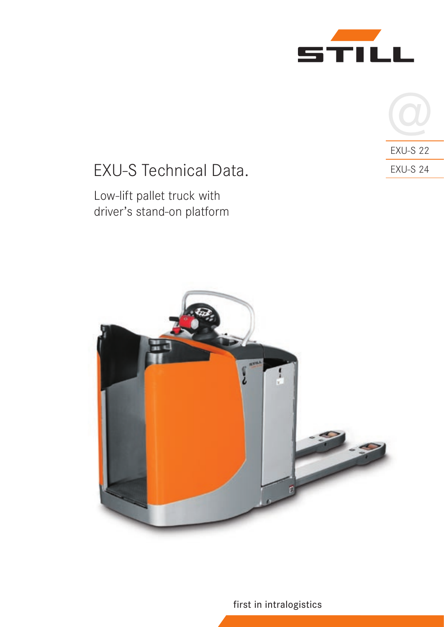



# EXU-S Technical Data.

## Low-lift pallet truck with driver's stand-on platform



first in intralogistics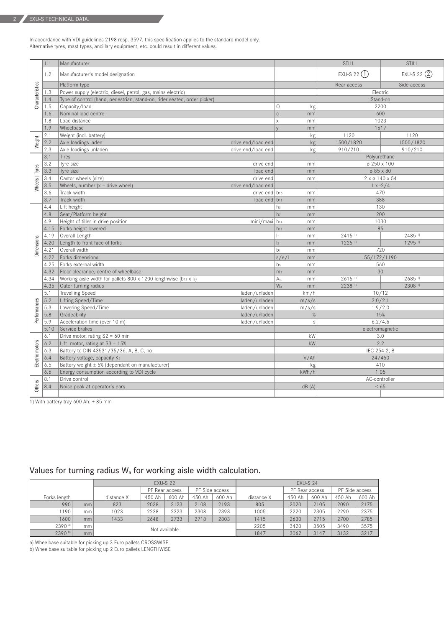In accordance with VDI guidelines 2198 resp. 3597, this specification applies to the standard model only. Alternative tyres, mast types, ancillary equipment, etc. could result in different values.

|                 | 1.1              | Manufacturer                                                             |                      |                                  |                 | STILL                | STILL                |  |  |
|-----------------|------------------|--------------------------------------------------------------------------|----------------------|----------------------------------|-----------------|----------------------|----------------------|--|--|
|                 | 1.2              | Manufacturer's model designation                                         |                      |                                  |                 | EXU-S 22 $(1)$       | EXU-S 22 2           |  |  |
|                 |                  | Platform type                                                            |                      |                                  |                 | Rear access          | Side access          |  |  |
|                 | 1.3              | Power supply (electric, diesel, petrol, gas, mains electric)             |                      |                                  |                 | Electric             |                      |  |  |
| Characteristics | 1.4              | Type of control (hand, pedestrian, stand-on, rider seated, order picker) |                      |                                  |                 | Stand-on             |                      |  |  |
|                 | 1.5              | Capacity/load                                                            |                      |                                  | kg <sub>2</sub> | 2200                 |                      |  |  |
|                 | 1.6              | Nominal load centre                                                      | c                    | mm                               | 600             |                      |                      |  |  |
|                 | 1.8              | Load distance                                                            |                      | l x                              | mm              | 1023                 |                      |  |  |
|                 | 1.9              | Wheelbase                                                                |                      |                                  | mm              | 1617                 |                      |  |  |
|                 | 2.1              | Weight (incl. battery)                                                   |                      |                                  | kg              | 1120                 | 1120                 |  |  |
| Weight          | $\sqrt{2.2}$     | Axle loadings laden                                                      | drive end/load end   |                                  | kg <sub>2</sub> | 1500/1820            | 1500/1820            |  |  |
|                 | 2.3              | Axle loadings unladen                                                    | drive end/load end   |                                  | kg              | 910/210              | 910/210              |  |  |
|                 | 3.1              | Tires                                                                    |                      |                                  |                 | Polyurethane         |                      |  |  |
|                 | 3.2              | Tyre size                                                                | drive end            |                                  | mm              |                      | Ø 250 x 100          |  |  |
| Wheels   Tyres  | 3.3              | Tyre size                                                                | load end             |                                  | mm              |                      | Ø 85 x 80            |  |  |
|                 | 3.4              | Castor wheels (size)                                                     | drive end            |                                  | mm              |                      | 2 x ø 140 x 54       |  |  |
|                 | 3.5              | Wheels, number $(x =$ drive wheel)                                       | drive end/load end   |                                  |                 |                      | $1 x - 2/4$          |  |  |
|                 | 3.6              | Track width                                                              | drive end $ b_{10} $ |                                  | mm              |                      | 470                  |  |  |
|                 | 3.7              | Track width                                                              | load end $ b_{11} $  |                                  | mm              | 388                  |                      |  |  |
|                 | 4.4<br>4.8       | Lift height                                                              |                      | h <sub>3</sub><br>h <sub>z</sub> | mm              | 130                  |                      |  |  |
|                 | 4.9              | Seat/Platform height<br>Height of tiller in drive position               | mini/maxi h14        |                                  | mm              |                      | 200<br>1030          |  |  |
|                 | 4.15             | Forks height lowered                                                     |                      | $h_{13}$                         | mm<br>mm        | 85                   |                      |  |  |
|                 | 4.19             | Overall Length                                                           |                      | H.                               | mm              | $2415$ <sup>1)</sup> | 2485 1)              |  |  |
| Dimensions      | 4.20             | Length to front face of forks                                            |                      | $\vert$ <sub>2</sub>             | mm              | $1225$ <sup>1)</sup> | $1295$ <sup>1)</sup> |  |  |
|                 | 4.21             | Overall width                                                            |                      | $b_1$                            | mm              | 720                  |                      |  |  |
|                 |                  | 4.22 Forks dimensions                                                    |                      | s/e/                             | mm              | 55/172/1190          |                      |  |  |
|                 | 4.25             | Forks external width                                                     |                      | b <sub>5</sub>                   | mm              | 560                  |                      |  |  |
|                 | 4.32             | Floor clearance, centre of wheelbase                                     |                      | m <sub>2</sub>                   | mm              | 30                   |                      |  |  |
|                 | 4.34             | Working aisle width for pallets 800 x 1200 lengthwise (b12 x l6)         |                      | Ast                              | mm              | $2615$ <sup>1)</sup> | $2685$ <sup>1)</sup> |  |  |
|                 | 4.35             | Outer turning radius                                                     |                      | $ W_a $                          | mm              | 2238 1)              | 2308 1)              |  |  |
|                 | 5.1              | <b>Travelling Speed</b>                                                  | laden/unladen        |                                  | km/h            | 10/12                |                      |  |  |
|                 | $\overline{5.2}$ | Lifting Speed/Time                                                       | laden/unladen        |                                  | m/s/s           | 3.0/2.1              |                      |  |  |
|                 | $\overline{5.3}$ | Lowering Speed/Time                                                      | laden/unladen        |                                  | m/s/s           | 1.9/2.0              |                      |  |  |
| Performances    | $\overline{5.8}$ | Gradeability                                                             | laden/unladen        |                                  | $\%$            |                      | 15%                  |  |  |
|                 | 5.9              | Acceleration time (over 10 m)                                            | laden/unladen        |                                  | $\mathsf{s}$    |                      | 6.2/4.6              |  |  |
|                 | 5.10             | Service brakes                                                           |                      |                                  |                 | electromagnetic      |                      |  |  |
|                 | 6.1              | Drive motor, rating $S2 = 60$ min                                        |                      |                                  | kW              | 3.0                  |                      |  |  |
|                 | 6.2              | Lift motor, rating at $S3 = 15\%$                                        |                      |                                  | kW              | 2.2                  |                      |  |  |
| Electric motors | 6.3              | Battery to DIN 43531/35/36; A, B, C, no                                  |                      |                                  |                 | IEC 254-2; B         |                      |  |  |
|                 | 6.4              | Battery voltage, capacity K5                                             |                      |                                  | V/Ah            | 24/450               |                      |  |  |
|                 | 6.5              | Battery weight $\pm$ 5% (dependant on manufacturer)                      |                      |                                  | kg              | 410                  |                      |  |  |
|                 | 6.6              | Energy consumption according to VDI cycle                                |                      |                                  | kWh/h           | 1.05                 |                      |  |  |
|                 | 8.1              | Drive control                                                            |                      |                                  |                 | AC-controller        |                      |  |  |
| Others          | 8.4              | Noise peak at operator's ears                                            |                      |                                  | dB(A)           | < 65                 |                      |  |  |
|                 |                  |                                                                          |                      |                                  |                 |                      |                      |  |  |

1) With battery tray 600 Ah: + 85 mm

## Values for turning radius  $W_a$  for working aisle width calculation.

|              |                       |            | FXU-S 24       |        |                |        |            |                |        |                |        |
|--------------|-----------------------|------------|----------------|--------|----------------|--------|------------|----------------|--------|----------------|--------|
|              |                       |            | PF Rear access |        | PF Side access |        |            | PF Rear access |        | PF Side access |        |
| Forks length |                       | distance X | 450 Ah         | 600 Ah | 450 Ah         | 600 Ah | distance X | 450 Ah         | 600 Ah | 450 Ah         | 600 Ah |
| 990          | mm                    | 823        | 2038           | 2123   | 2108           | 2193   | 805        | 2020           | 2105   | 2090           | 2175   |
| 1190         | mm                    | 1023       | 2238           | 2323   | 2308           | 2393   | 1005       | 2220           | 2305   | 2290           | 2375   |
| 1600         | mm                    | 1433       | 2648           | 2733   | 2718           | 2803   | 1415       | 2630           | 2715   | 2700           | 2785   |
| $2390$ a)    | mm l                  |            |                |        |                |        | 2205       | 3420           | 3505   | 3490           | 3575   |
| 2390 b)      | Not available<br>mm l |            |                |        |                |        | 1847       | 3062           | 3147   | 3132           | 3217   |

a) Wheelbase suitable for picking up 3 Euro pallets CROSSWISE

b) Wheelbase suitable for picking up 2 Euro pallets LENGTHWISE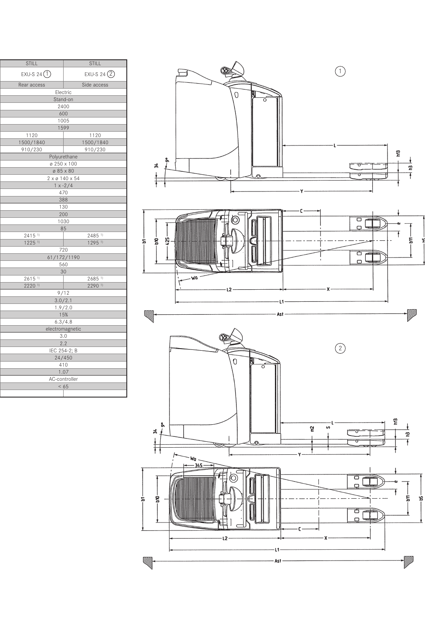| STILL                                        |                                      | STILL                                        |  |  |
|----------------------------------------------|--------------------------------------|----------------------------------------------|--|--|
| $EXU-S$ 24 $\bigodot$                        |                                      | $EXU-S$ 24 $(2)$                             |  |  |
| Rear access                                  |                                      | Side access                                  |  |  |
|                                              | Electric                             |                                              |  |  |
|                                              | Stand-on                             |                                              |  |  |
|                                              | 2400                                 |                                              |  |  |
|                                              | 600                                  |                                              |  |  |
|                                              | 1005<br>1599                         |                                              |  |  |
| $\frac{1120}{ }$                             | 1120                                 |                                              |  |  |
| 1500/1840                                    |                                      | 1500/1840                                    |  |  |
| 910/230                                      |                                      | 910/230                                      |  |  |
|                                              | Polyurethane                         |                                              |  |  |
|                                              | $\sigma$ 250 x 100                   |                                              |  |  |
|                                              | $\varnothing$ 85 x 80                |                                              |  |  |
|                                              | $2 \times \emptyset$ 140 $\times$ 54 |                                              |  |  |
|                                              | $1 x - 2/4$<br>470                   |                                              |  |  |
|                                              | 388                                  |                                              |  |  |
|                                              | $\overline{130}$                     |                                              |  |  |
|                                              | 200                                  |                                              |  |  |
|                                              | 1030                                 |                                              |  |  |
|                                              | 85                                   |                                              |  |  |
| $2415$ <sup>1)</sup><br>$1225$ <sup>1)</sup> |                                      | $2485$ <sup>1)</sup><br>$1295$ <sup>1)</sup> |  |  |
|                                              | 720                                  |                                              |  |  |
|                                              | 61/172/1190                          |                                              |  |  |
|                                              | 560                                  |                                              |  |  |
|                                              | 30                                   |                                              |  |  |
| 2615 <sup>1</sup>                            |                                      | $2685$ <sup>1)</sup>                         |  |  |
| $2220$ <sup>1)</sup>                         |                                      | 2290 1)                                      |  |  |
|                                              | $\frac{9/12}{3.0/2.1}$               |                                              |  |  |
|                                              | 1.9/2.0                              |                                              |  |  |
|                                              | 15%                                  |                                              |  |  |
|                                              | 6.3/4.8                              |                                              |  |  |
|                                              | electromagnetic                      |                                              |  |  |
|                                              | $\frac{3.0}{2.2}$ IEC 254-2; B       |                                              |  |  |
|                                              |                                      |                                              |  |  |
|                                              | 24/450                               |                                              |  |  |
|                                              | 410                                  |                                              |  |  |
|                                              | 1.07                                 |                                              |  |  |
|                                              | AC-controller                        |                                              |  |  |
|                                              | < 65                                 |                                              |  |  |
|                                              |                                      |                                              |  |  |

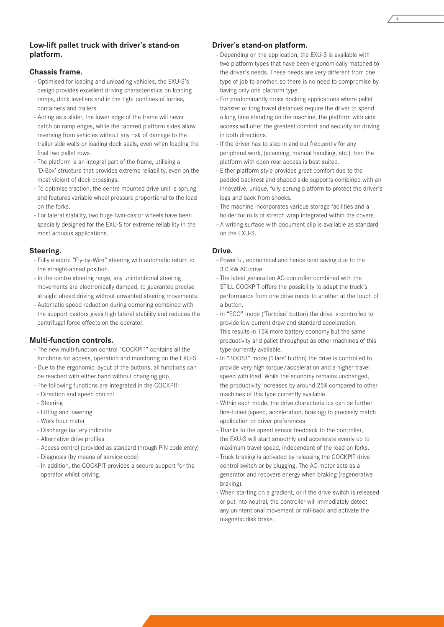#### **Low-lift pallet truck with driver's stand-on platform.**

#### **Chassis frame.**

- Optimised for loading and unloading vehicles, the EXU-S's design provides excellent driving characteristics on loading ramps, dock levellers and in the tight confines of lorries, containers and trailers.
- Acting as a slider, the lower edge of the frame will never catch on ramp edges, while the tapered platform sides allow reversing from vehicles without any risk of damage to the trailer side walls or loading dock seals, even when loading the final two pallet rows.
- The platform is an integral part of the frame, utilising a 'D-Box' structure that provides extreme reliability, even on the most violent of dock crossings.
- To optimise traction, the centre mounted drive unit is sprung and features variable wheel pressure proportional to the load on the forks.
- For lateral stability, two huge twin-castor wheels have been specially designed for the EXU-S for extreme reliability in the most arduous applications.

#### **Steering.**

- Fully electric "Fly-by-Wire" steering with automatic return to the straight-ahead position.
- In the centre steering range, any unintentional steering movements are electronically damped, to guarantee precise straight ahead driving without unwanted steering movements.
- Automatic speed reduction during cornering combined with the support castors gives high lateral stability and reduces the centrifugal force effects on the operator.

#### **Multi-function controls.**

- The new multi-function control "COCKPIT" contains all the functions for access, operation and monitoring on the EXU-S.
- Due to the ergonomic layout of the buttons, all functions can be reached with either hand without changing grip.
- The following functions are integrated in the COCKPIT:
- Direction and speed control
- Steering
- Lifting and lowering
- Work hour meter
- Discharge battery indicator
- Alternative drive profiles
- Access control (provided as standard through PIN code entry)
- Diagnosis (by means of service code)
- In addition, the COCKPIT provides a secure support for the operator whilst driving.

#### **Driver's stand-on platform.**

- Depending on the application, the EXU-S is available with two platform types that have been ergonomically matched to the driver's needs. These needs are very different from one type of job to another, so there is no need to compromise by having only one platform type.
- For predominantly cross docking applications where pallet transfer or long travel distances require the driver to spend a long time standing on the machine, the platform with side access will offer the greatest comfort and security for driving in both directions.
- If the driver has to step in and out frequently for any peripheral work, (scanning, manual handling, etc.) then the platform with open rear access is best suited.
- Either platform style provides great comfort due to the padded backrest and shaped side supports combined with an innovative, unique, fully sprung platform to protect the driver's legs and back from shocks.
- The machine incorporates various storage facilities and a holder for rolls of stretch wrap integrated within the covers.
- A writing surface with document clip is available as standard on the EXU-S.

#### **Drive.**

- Powerful, economical and hence cost saving due to the 3.0 kW AC-drive.
- The latest generation AC-controller combined with the STILL COCKPIT offers the possibility to adapt the truck's performance from one drive mode to another at the touch of a button.
- In "ECO" mode ('Tortoise' button) the drive is controlled to provide low current draw and standard acceleration. This results in 15% more battery economy but the same productivity and pallet throughput as other machines of this type currently available.
- In "BOOST" mode ('Hare' button) the drive is controlled to provide very high torque/acceleration and a higher travel speed with load. While the economy remains unchanged, the productivity increases by around 25% compared to other machines of this type currently available.
- Within each mode, the drive characteristics can be further fine-tuned (speed, acceleration, braking) to precisely match application or driver preferences.
- Thanks to the speed sensor feedback to the controller, the EXU-S will start smoothly and accelerate evenly up to maximum travel speed, independent of the load on forks.
- Truck braking is activated by releasing the COCKPIT drive control switch or by plugging. The AC-motor acts as a generator and recovers energy when braking (regenerative braking).
- When starting on a gradient, or if the drive switch is released or put into neutral, the controller will immediately detect any unintentional movement or roll-back and activate the magnetic disk brake.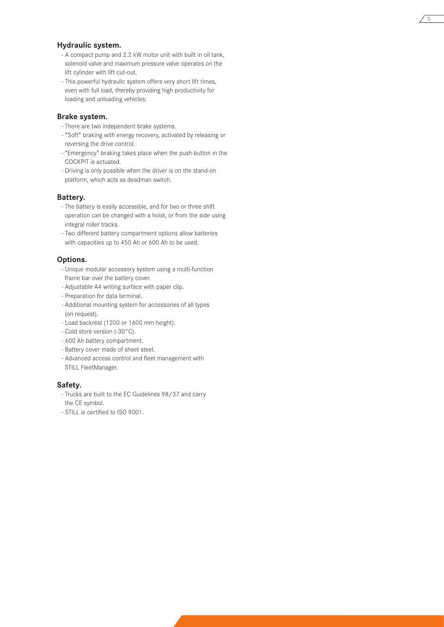#### **Hydraulic system.**

- A compact pump and 2.2 kW motor unit with built in oil tank, solenoid valve and maximum pressure valve operates on the lift cylinder with lift cut-out.

5

- This powerful hydraulic system offers very short lift times, even with full load, thereby providing high productivity for loading and unloading vehicles.

#### **Brake system.**

- There are two independent brake systems.
- "Soft" braking with energy recovery, activated by releasing or reversing the drive control.
- "Emergency" braking takes place when the push-button in the COCKPIT is actuated.
- Driving is only possible when the driver is on the stand-on platform, which acts as deadman switch.

#### **Battery.**

- The battery is easily accessible, and for two or three shift operation can be changed with a hoist, or from the side using integral roller tracks.
- Two different battery compartment options allow batteries with capacities up to 450 Ah or 600 Ah to be used.

#### **Options.**

- Unique modular accessory system using a multi-function frame bar over the battery cover.
- Adjustable A4 writing surface with paper clip.
- Preparation for data terminal.
- Additional mounting system for accessories of all types (on request).
- Load backrest (1200 or 1600 mm height).
- Cold store version (-30°C).
- 600 Ah battery compartment.
- Battery cover made of sheet steel.
- Advanced access control and fleet management with STILL FleetManager.

#### **Safety.**

- Trucks are built to the EC Guidelines 98/37 and carry the CE symbol.
- STILL is certified to ISO 9001.